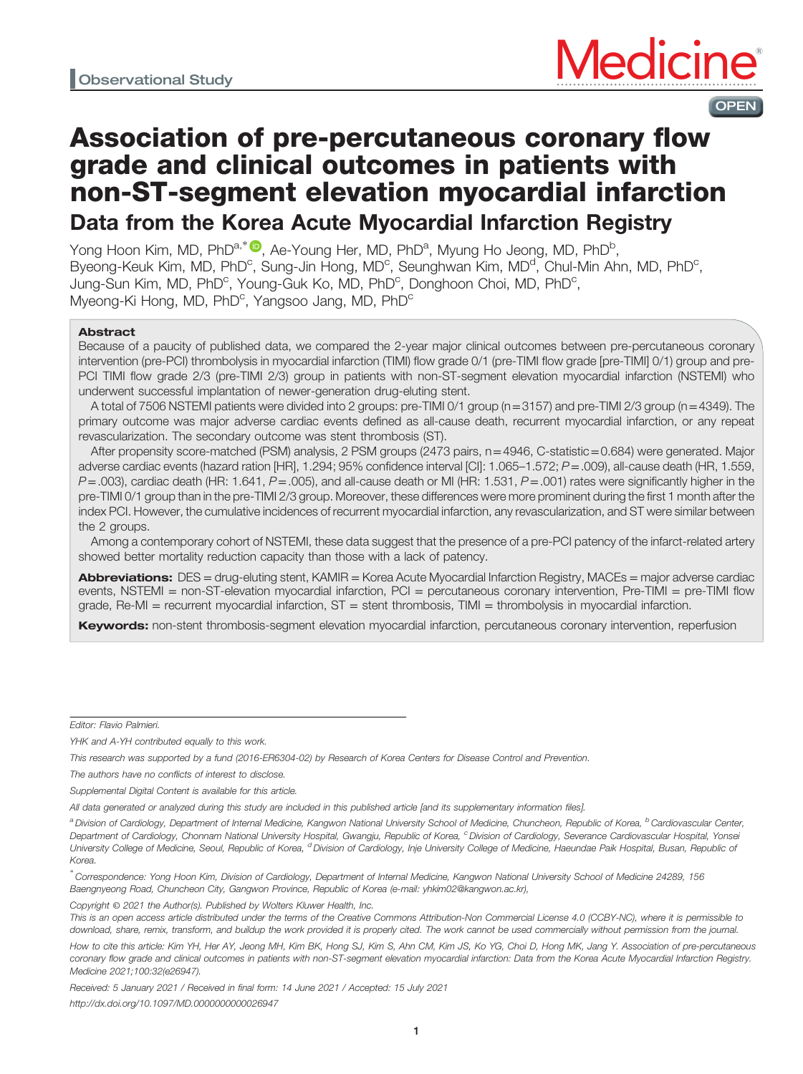

# Association of pre-percutaneous coronary flow grade and clinical outcomes in patients with non-ST-segment elevation myocardial infarction Data from the Korea Acute Myocardial Infarction Registry

Yong Hoon Kim, MD, PhD<sup>a,\*</sup>®, Ae-Young Her, MD, PhD<sup>a</sup>, Myung Ho Jeong, MD, PhD<sup>b</sup>, Byeong-Keuk Kim, MD, PhD<sup>c</sup>, Sung-Jin Hong, MD<sup>c</sup>, Seunghwan Kim, MD<sup>d</sup>, Chul-Min Ahn, MD, PhD<sup>c</sup>, Jung-Sun Kim, MD, PhD<sup>c</sup>, Young-Guk Ko, MD, PhD<sup>c</sup>, Donghoon Choi, MD, PhD<sup>c</sup>, Myeong-Ki Hong, MD, PhD<sup>c</sup>, Yangsoo Jang, MD, PhD<sup>c</sup>

# Abstract

Because of a paucity of published data, we compared the 2-year major clinical outcomes between pre-percutaneous coronary intervention (pre-PCI) thrombolysis in myocardial infarction (TIMI) flow grade 0/1 (pre-TIMI flow grade [pre-TIMI] 0/1) group and pre-PCI TIMI flow grade 2/3 (pre-TIMI 2/3) group in patients with non-ST-segment elevation myocardial infarction (NSTEMI) who underwent successful implantation of newer-generation drug-eluting stent.

A total of 7506 NSTEMI patients were divided into 2 groups: pre-TIMI 0/1 group (n=3157) and pre-TIMI 2/3 group (n=4349). The primary outcome was major adverse cardiac events defined as all-cause death, recurrent myocardial infarction, or any repeat revascularization. The secondary outcome was stent thrombosis (ST).

After propensity score-matched (PSM) analysis, 2 PSM groups (2473 pairs, n=4946, C-statistic=0.684) were generated. Major adverse cardiac events (hazard ration [HR], 1.294; 95% confidence interval [CI]: 1.065–1.572; P=.009), all-cause death (HR, 1.559,  $P = .003$ ), cardiac death (HR: 1.641,  $P = .005$ ), and all-cause death or MI (HR: 1.531,  $P = .001$ ) rates were significantly higher in the pre-TIMI 0/1 group than in the pre-TIMI 2/3 group. Moreover, these differences were more prominent during the first 1 month after the index PCI. However, the cumulative incidences of recurrent myocardial infarction, any revascularization, and ST were similar between the 2 groups.

Among a contemporary cohort of NSTEMI, these data suggest that the presence of a pre-PCI patency of the infarct-related artery showed better mortality reduction capacity than those with a lack of patency.

Abbreviations: DES = drug-eluting stent, KAMIR = Korea Acute Myocardial Infarction Registry, MACEs = major adverse cardiac events, NSTEMI = non-ST-elevation myocardial infarction, PCI = percutaneous coronary intervention, Pre-TIMI = pre-TIMI flow grade, Re-MI = recurrent myocardial infarction, ST = stent thrombosis, TIMI = thrombolysis in myocardial infarction.

Keywords: non-stent thrombosis-segment elevation myocardial infarction, percutaneous coronary intervention, reperfusion

Editor: Flavio Palmieri.

YHK and A-YH contributed equally to this work.

The authors have no conflicts of interest to disclose.

Supplemental Digital Content is available for this article.

All data generated or analyzed during this study are included in this published article [and its supplementary information files].

<sup>a</sup> Division of Cardiology, Department of Internal Medicine, Kangwon National University School of Medicine, Chuncheon, Republic of Korea, <sup>b</sup> Cardiovascular Center, Department of Cardiology, Chonnam National University Hospital, Gwangju, Republic of Korea, <sup>c</sup>Division of Cardiology, Severance Cardiovascular Hospital, Yonsei University College of Medicine, Seoul, Republic of Korea, <sup>d</sup> Division of Cardiology, Inje University College of Medicine, Haeundae Paik Hospital, Busan, Republic of Korea.

∗ Correspondence: Yong Hoon Kim, Division of Cardiology, Department of Internal Medicine, Kangwon National University School of Medicine 24289, 156 Baengnyeong Road, Chuncheon City, Gangwon Province, Republic of Korea (e-mail: [yhkim02@kangwon.ac.kr\),](mailto:yhkim02@kangwon.ac.kr),)

Copyright © 2021 the Author(s). Published by Wolters Kluwer Health, Inc.

This is an open access article distributed under the terms of the [Creative Commons Attribution-Non Commercial License 4.0](http://creativecommons.org/licenses/by-nc/4.0) (CCBY-NC), where it is permissible to download, share, remix, transform, and buildup the work provided it is properly cited. The work cannot be used commercially without permission from the journal.

How to cite this article: Kim YH, Her AY, Jeong MH, Kim BK, Hong SJ, Kim S, Ahn CM, Kim JS, Ko YG, Choi D, Hong MK, Jang Y. Association of pre-percutaneous coronary flow grade and clinical outcomes in patients with non-ST-segment elevation myocardial infarction: Data from the Korea Acute Myocardial Infarction Registry. Medicine 2021;100:32(e26947).

Received: 5 January 2021 / Received in final form: 14 June 2021 / Accepted: 15 July 2021

<http://dx.doi.org/10.1097/MD.0000000000026947>

This research was supported by a fund (2016-ER6304-02) by Research of Korea Centers for Disease Control and Prevention.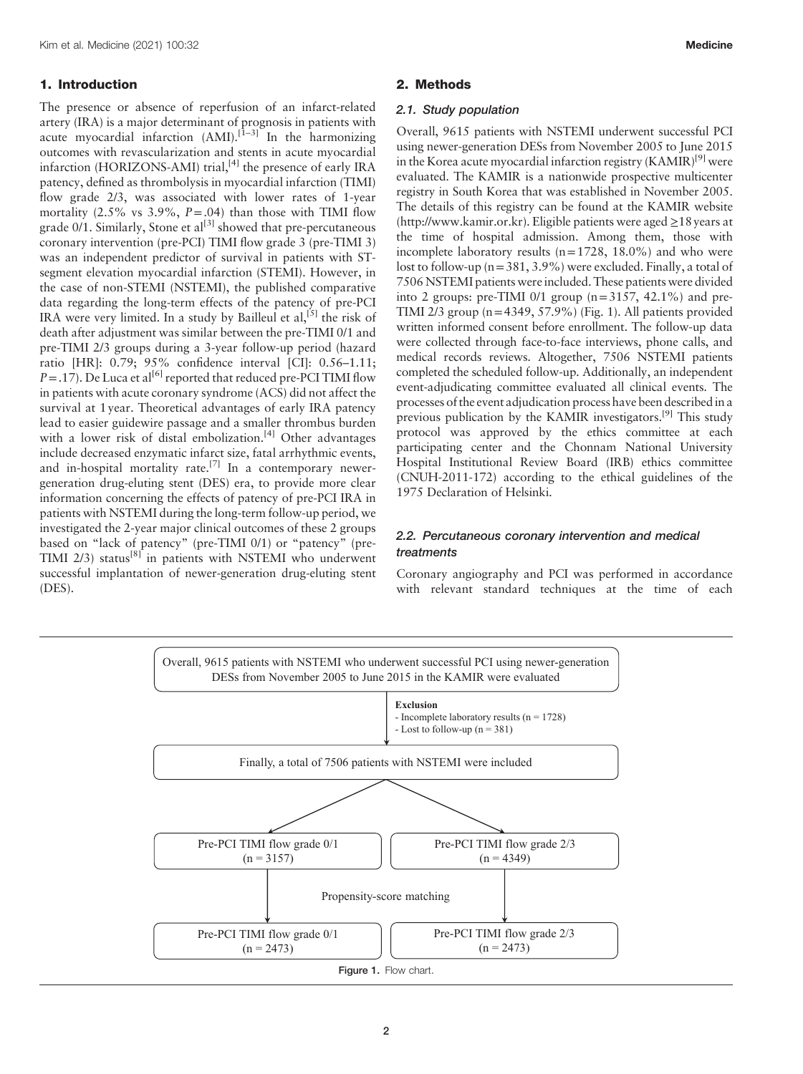# <span id="page-1-0"></span>1. Introduction

The presence or absence of reperfusion of an infarct-related artery (IRA) is a major determinant of prognosis in patients with acute myocardial infarction  $(AMI)$ .<sup>[1–3]</sup> In the harmonizing outcomes with revascularization and stents in acute myocardial infarction (HORIZONS-AMI) trial,<sup>[\[4\]](#page-9-0)</sup> the presence of early IRA patency, defined as thrombolysis in myocardial infarction (TIMI) flow grade 2/3, was associated with lower rates of 1-year mortality (2.5% vs 3.9%,  $P = .04$ ) than those with TIMI flow grade  $0/1$ . Similarly, Stone et al<sup>[\[3\]](#page-9-0)</sup> showed that pre-percutaneous coronary intervention (pre-PCI) TIMI flow grade 3 (pre-TIMI 3) was an independent predictor of survival in patients with STsegment elevation myocardial infarction (STEMI). However, in the case of non-STEMI (NSTEMI), the published comparative data regarding the long-term effects of the patency of pre-PCI IRA were very limited. In a study by Bailleul et  $al$ , [\[5\]](#page-9-0) the risk of death after adjustment was similar between the pre-TIMI 0/1 and pre-TIMI 2/3 groups during a 3-year follow-up period (hazard ratio [HR]: 0.79; 95% confidence interval [CI]: 0.56–1.11;  $P = .17$ ). De Luca et al<sup>[\[6\]](#page-9-0)</sup> reported that reduced pre-PCI TIMI flow in patients with acute coronary syndrome (ACS) did not affect the survival at 1 year. Theoretical advantages of early IRA patency lead to easier guidewire passage and a smaller thrombus burden with a lower risk of distal embolization.<sup>[\[4\]](#page-9-0)</sup> Other advantages include decreased enzymatic infarct size, fatal arrhythmic events, and in-hospital mortality rate.<sup>[\[7\]](#page-9-0)</sup> In a contemporary newergeneration drug-eluting stent (DES) era, to provide more clear information concerning the effects of patency of pre-PCI IRA in patients with NSTEMI during the long-term follow-up period, we investigated the 2-year major clinical outcomes of these 2 groups based on "lack of patency" (pre-TIMI 0/1) or "patency" (pre-TIMI 2/3) status<sup>[\[8\]](#page-9-0)</sup> in patients with NSTEMI who underwent successful implantation of newer-generation drug-eluting stent (DES).

# 2. Methods

#### 2.1. Study population

Overall, 9615 patients with NSTEMI underwent successful PCI using newer-generation DESs from November 2005 to June 2015 in the Korea acute myocardial infarction registry  $(KAMIR)^{[9]}$  were evaluated. The KAMIR is a nationwide prospective multicenter registry in South Korea that was established in November 2005. The details of this registry can be found at the KAMIR website ([http://www.kamir.or.kr\)](http://www.kamir.or.kr/). Eligible patients were aged ≥18 years at the time of hospital admission. Among them, those with incomplete laboratory results  $(n=1728, 18.0\%)$  and who were lost to follow-up (n=381, 3.9%) were excluded. Finally, a total of 7506 NSTEMI patients were included. These patients were divided into 2 groups: pre-TIMI 0/1 group  $(n=3157, 42.1\%)$  and pre-TIMI 2/3 group  $(n=4349, 57.9\%)$  (Fig. 1). All patients provided written informed consent before enrollment. The follow-up data were collected through face-to-face interviews, phone calls, and medical records reviews. Altogether, 7506 NSTEMI patients completed the scheduled follow-up. Additionally, an independent event-adjudicating committee evaluated all clinical events. The processes of the event adjudication process have been described in a previous publication by the KAMIR investigators[.\[9\]](#page-9-0) This study protocol was approved by the ethics committee at each participating center and the Chonnam National University Hospital Institutional Review Board (IRB) ethics committee (CNUH-2011-172) according to the ethical guidelines of the 1975 Declaration of Helsinki.

# 2.2. Percutaneous coronary intervention and medical treatments

Coronary angiography and PCI was performed in accordance with relevant standard techniques at the time of each

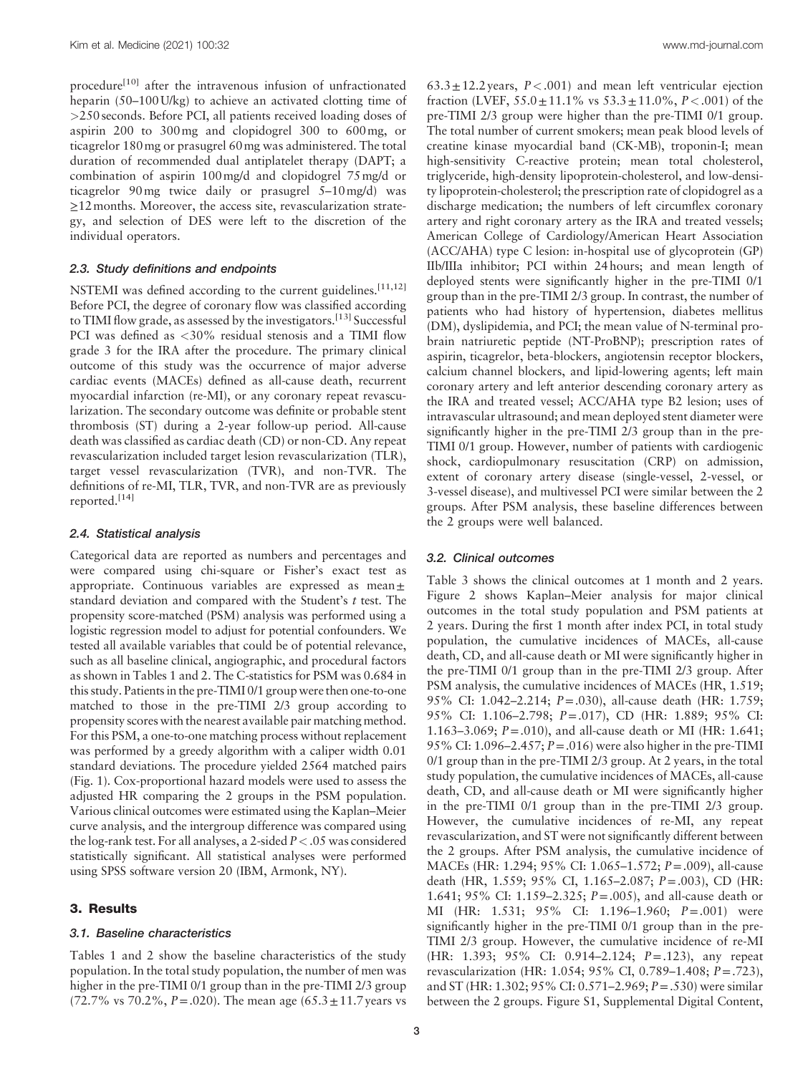procedure<sup>[\[10\]](#page-9-0)</sup> after the intravenous infusion of unfractionated heparin (50–100 U/kg) to achieve an activated clotting time of >250 seconds. Before PCI, all patients received loading doses of aspirin 200 to 300mg and clopidogrel 300 to 600mg, or ticagrelor 180mg or prasugrel 60mg was administered. The total duration of recommended dual antiplatelet therapy (DAPT; a combination of aspirin 100mg/d and clopidogrel 75mg/d or ticagrelor 90mg twice daily or prasugrel 5–10mg/d) was ≥12months. Moreover, the access site, revascularization strategy, and selection of DES were left to the discretion of the individual operators.

#### 2.3. Study definitions and endpoints

NSTEMI was defined according to the current guidelines.<sup>[11,12]</sup> Before PCI, the degree of coronary flow was classified according to TIMI flow grade, as assessed by the investigators.<sup>[\[13\]](#page-9-0)</sup> Successful PCI was defined as <30% residual stenosis and a TIMI flow grade 3 for the IRA after the procedure. The primary clinical outcome of this study was the occurrence of major adverse cardiac events (MACEs) defined as all-cause death, recurrent myocardial infarction (re-MI), or any coronary repeat revascularization. The secondary outcome was definite or probable stent thrombosis (ST) during a 2-year follow-up period. All-cause death was classified as cardiac death (CD) or non-CD. Any repeat revascularization included target lesion revascularization (TLR), target vessel revascularization (TVR), and non-TVR. The definitions of re-MI, TLR, TVR, and non-TVR are as previously reported.[\[14\]](#page-9-0)

#### 2.4. Statistical analysis

Categorical data are reported as numbers and percentages and were compared using chi-square or Fisher's exact test as appropriate. Continuous variables are expressed as mean± standard deviation and compared with the Student's t test. The propensity score-matched (PSM) analysis was performed using a logistic regression model to adjust for potential confounders. We tested all available variables that could be of potential relevance, such as all baseline clinical, angiographic, and procedural factors as shown in Tables 1 and 2. The C-statistics for PSM was 0.684 in this study. Patients in the pre-TIMI 0/1 group were then one-to-one matched to those in the pre-TIMI 2/3 group according to propensity scores with the nearest available pair matching method. For this PSM, a one-to-one matching process without replacement was performed by a greedy algorithm with a caliper width 0.01 standard deviations. The procedure yielded 2564 matched pairs ([Fig. 1](#page-1-0)). Cox-proportional hazard models were used to assess the adjusted HR comparing the 2 groups in the PSM population. Various clinical outcomes were estimated using the Kaplan–Meier curve analysis, and the intergroup difference was compared using the log-rank test. For all analyses, a 2-sided  $P < .05$  was considered statistically significant. All statistical analyses were performed using SPSS software version 20 (IBM, Armonk, NY).

#### 3. Results

#### 3.1. Baseline characteristics

Tables 1 and 2 show the baseline characteristics of the study population. In the total study population, the number of men was higher in the pre-TIMI 0/1 group than in the pre-TIMI 2/3 group (72.7% vs 70.2%,  $P = .020$ ). The mean age (65.3  $\pm$ 11.7 years vs  $63.3 \pm 12.2$  years,  $P < .001$ ) and mean left ventricular ejection fraction (LVEF,  $55.0 \pm 11.1\%$  vs  $53.3 \pm 11.0\%$ ,  $P < .001$ ) of the pre-TIMI 2/3 group were higher than the pre-TIMI 0/1 group. The total number of current smokers; mean peak blood levels of creatine kinase myocardial band (CK-MB), troponin-I; mean high-sensitivity C-reactive protein; mean total cholesterol, triglyceride, high-density lipoprotein-cholesterol, and low-density lipoprotein-cholesterol; the prescription rate of clopidogrel as a discharge medication; the numbers of left circumflex coronary artery and right coronary artery as the IRA and treated vessels; American College of Cardiology/American Heart Association (ACC/AHA) type C lesion: in-hospital use of glycoprotein (GP) IIb/IIIa inhibitor; PCI within 24 hours; and mean length of deployed stents were significantly higher in the pre-TIMI 0/1 group than in the pre-TIMI 2/3 group. In contrast, the number of patients who had history of hypertension, diabetes mellitus (DM), dyslipidemia, and PCI; the mean value of N-terminal probrain natriuretic peptide (NT-ProBNP); prescription rates of aspirin, ticagrelor, beta-blockers, angiotensin receptor blockers, calcium channel blockers, and lipid-lowering agents; left main coronary artery and left anterior descending coronary artery as the IRA and treated vessel; ACC/AHA type B2 lesion; uses of intravascular ultrasound; and mean deployed stent diameter were significantly higher in the pre-TIMI 2/3 group than in the pre-TIMI 0/1 group. However, number of patients with cardiogenic shock, cardiopulmonary resuscitation (CRP) on admission, extent of coronary artery disease (single-vessel, 2-vessel, or 3-vessel disease), and multivessel PCI were similar between the 2 groups. After PSM analysis, these baseline differences between the 2 groups were well balanced.

## 3.2. Clinical outcomes

[Table 3](#page-5-0) shows the clinical outcomes at 1 month and 2 years. [Figure 2](#page-6-0) shows Kaplan–Meier analysis for major clinical outcomes in the total study population and PSM patients at 2 years. During the first 1 month after index PCI, in total study population, the cumulative incidences of MACEs, all-cause death, CD, and all-cause death or MI were significantly higher in the pre-TIMI 0/1 group than in the pre-TIMI 2/3 group. After PSM analysis, the cumulative incidences of MACEs (HR, 1.519; 95% CI: 1.042–2.214; P=.030), all-cause death (HR: 1.759; 95% CI: 1.106–2.798; P=.017), CD (HR: 1.889; 95% CI: 1.163–3.069; P=.010), and all-cause death or MI (HR: 1.641; 95% CI: 1.096–2.457; P=.016) were also higher in the pre-TIMI 0/1 group than in the pre-TIMI 2/3 group. At 2 years, in the total study population, the cumulative incidences of MACEs, all-cause death, CD, and all-cause death or MI were significantly higher in the pre-TIMI 0/1 group than in the pre-TIMI 2/3 group. However, the cumulative incidences of re-MI, any repeat revascularization, and ST were not significantly different between the 2 groups. After PSM analysis, the cumulative incidence of MACEs (HR: 1.294; 95% CI: 1.065–1.572; P=.009), all-cause death (HR, 1.559; 95% CI, 1.165–2.087; P=.003), CD (HR: 1.641; 95% CI: 1.159–2.325; P=.005), and all-cause death or MI (HR: 1.531; 95% CI: 1.196–1.960; P=.001) were significantly higher in the pre-TIMI 0/1 group than in the pre-TIMI 2/3 group. However, the cumulative incidence of re-MI (HR: 1.393; 95% CI: 0.914–2.124; P=.123), any repeat revascularization (HR: 1.054; 95% CI, 0.789–1.408; P=.723), and ST (HR: 1.302; 95% CI: 0.571–2.969; P=.530) were similar between the 2 groups. Figure S1, Supplemental Digital Content,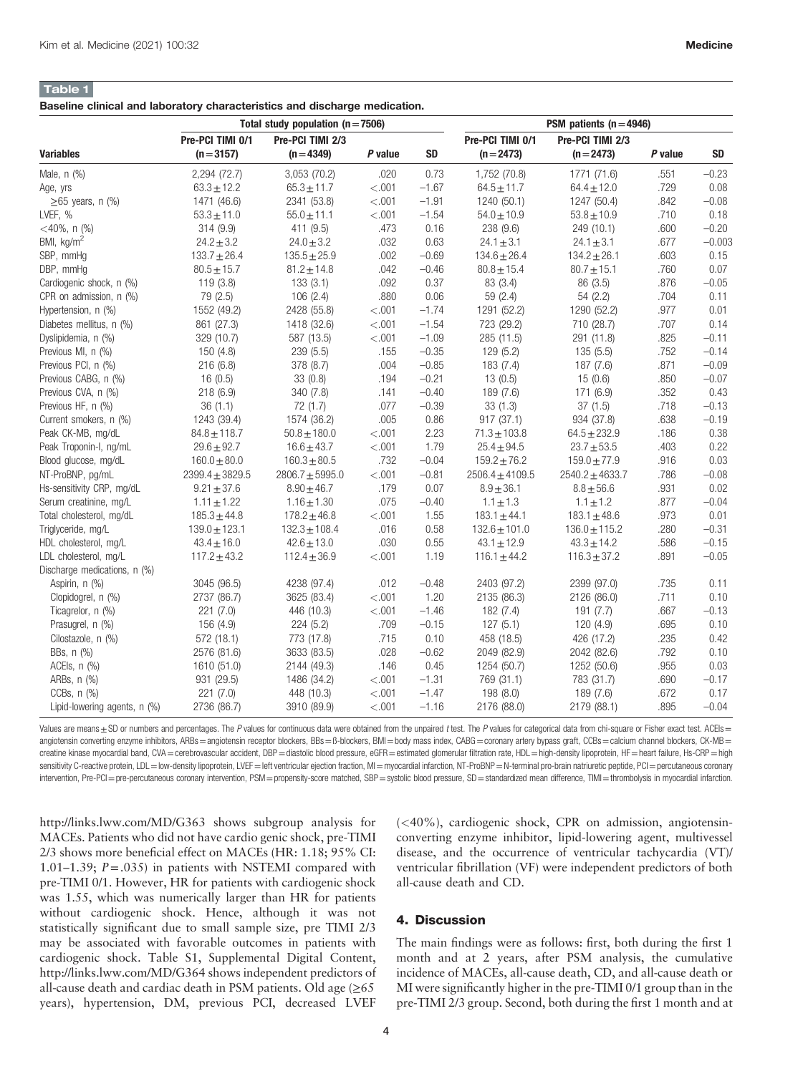<span id="page-3-0"></span>Table 1

|  |  | Baseline clinical and laboratory characteristics and discharge medication. |  |  |
|--|--|----------------------------------------------------------------------------|--|--|
|  |  |                                                                            |  |  |

|                              |                     | Total study population ( $n = 7506$ ) | PSM patients $(n=4946)$ |           |                     |                     |         |           |
|------------------------------|---------------------|---------------------------------------|-------------------------|-----------|---------------------|---------------------|---------|-----------|
|                              | Pre-PCI TIMI 0/1    | Pre-PCI TIMI 2/3                      |                         |           | Pre-PCI TIMI 0/1    | Pre-PCI TIMI 2/3    |         |           |
| <b>Variables</b>             | $(n=3157)$          | $(n=4349)$                            | P value                 | <b>SD</b> | $(n=2473)$          | $(n=2473)$          | P value | <b>SD</b> |
| Male, n (%)                  | 2,294 (72.7)        | 3,053 (70.2)                          | .020                    | 0.73      | 1,752 (70.8)        | 1771 (71.6)         | .551    | $-0.23$   |
| Age, yrs                     | $63.3 \pm 12.2$     | $65.3 \pm 11.7$                       | < .001                  | $-1.67$   | $64.5 \pm 11.7$     | $64.4 \pm 12.0$     | .729    | 0.08      |
| $\geq$ 65 years, n (%)       | 1471 (46.6)         | 2341 (53.8)                           | < .001                  | $-1.91$   | 1240 (50.1)         | 1247 (50.4)         | .842    | $-0.08$   |
| LVEF, %                      | $53.3 \pm 11.0$     | $55.0 \pm 11.1$                       | < .001                  | $-1.54$   | $54.0 \pm 10.9$     | $53.8 \pm 10.9$     | .710    | 0.18      |
| $<$ 40%, n (%)               | 314(9.9)            | 411(9.5)                              | .473                    | 0.16      | 238(9.6)            | 249 (10.1)          | .600    | $-0.20$   |
| BMI, $kg/m2$                 | $24.2 \pm 3.2$      | $24.0 \pm 3.2$                        | .032                    | 0.63      | $24.1 \pm 3.1$      | $24.1 \pm 3.1$      | .677    | $-0.003$  |
| SBP, mmHg                    | $133.7 \pm 26.4$    | $135.5 \pm 25.9$                      | .002                    | $-0.69$   | $134.6 \pm 26.4$    | $134.2 \pm 26.1$    | .603    | 0.15      |
| DBP, mmHq                    | $80.5 \pm 15.7$     | $81.2 \pm 14.8$                       | .042                    | $-0.46$   | $80.8 \pm 15.4$     | $80.7 \pm 15.1$     | .760    | 0.07      |
| Cardiogenic shock, n (%)     | 119(3.8)            | 133(3.1)                              | .092                    | 0.37      | 83 (3.4)            | 86 (3.5)            | .876    | $-0.05$   |
| CPR on admission, n (%)      | 79 (2.5)            | 106(2.4)                              | .880                    | 0.06      | 59 (2.4)            | 54 (2.2)            | .704    | 0.11      |
| Hypertension, n (%)          | 1552 (49.2)         | 2428 (55.8)                           | < .001                  | $-1.74$   | 1291 (52.2)         | 1290 (52.2)         | .977    | 0.01      |
| Diabetes mellitus, n (%)     | 861 (27.3)          | 1418 (32.6)                           | < .001                  | $-1.54$   | 723 (29.2)          | 710 (28.7)          | .707    | 0.14      |
| Dyslipidemia, n (%)          | 329 (10.7)          | 587 (13.5)                            | < .001                  | $-1.09$   | 285 (11.5)          | 291 (11.8)          | .825    | $-0.11$   |
| Previous MI, n (%)           | 150(4.8)            | 239(5.5)                              | .155                    | $-0.35$   | 129(5.2)            | 135(5.5)            | .752    | $-0.14$   |
| Previous PCI, n (%)          | 216(6.8)            | 378 (8.7)                             | .004                    | $-0.85$   | 183 (7.4)           | 187 (7.6)           | .871    | $-0.09$   |
| Previous CABG, n (%)         | 16(0.5)             | 33(0.8)                               | .194                    | $-0.21$   | 13(0.5)             | 15(0.6)             | .850    | $-0.07$   |
| Previous CVA, n (%)          | 218 (6.9)           | 340 (7.8)                             | .141                    | $-0.40$   | 189 (7.6)           | 171 (6.9)           | .352    | 0.43      |
| Previous HF, n (%)           | 36(1.1)             | 72 (1.7)                              | .077                    | $-0.39$   | 33(1.3)             | 37(1.5)             | .718    | $-0.13$   |
| Current smokers, n (%)       | 1243 (39.4)         | 1574 (36.2)                           | .005                    | 0.86      | 917 (37.1)          | 934 (37.8)          | .638    | $-0.19$   |
| Peak CK-MB, mg/dL            | $84.8 \pm 118.7$    | $50.8 \pm 180.0$                      | < .001                  | 2.23      | $71.3 \pm 103.8$    | $64.5 \pm 232.9$    | .186    | 0.38      |
| Peak Troponin-I, ng/mL       | $29.6 \pm 92.7$     | $16.6 \pm 43.7$                       | < .001                  | 1.79      | $25.4 \pm 94.5$     | $23.7 + 53.5$       | .403    | 0.22      |
| Blood glucose, mg/dL         | $160.0 \pm 80.0$    | $160.3 \pm 80.5$                      | .732                    | $-0.04$   | $159.2 \pm 76.2$    | $159.0 \pm 77.9$    | .916    | 0.03      |
| NT-ProBNP, pg/mL             | $2399.4 \pm 3829.5$ | $2806.7 + 5995.0$                     | < .001                  | $-0.81$   | $2506.4 \pm 4109.5$ | $2540.2 \pm 4633.7$ | .786    | $-0.08$   |
| Hs-sensitivity CRP, mg/dL    | $9.21 \pm 37.6$     | $8.90 \pm 46.7$                       | .179                    | 0.07      | $8.9 \pm 36.1$      | $8.8 \pm 56.6$      | .931    | 0.02      |
| Serum creatinine, mg/L       | $1.11 \pm 1.22$     | $1.16 \pm 1.30$                       | .075                    | $-0.40$   | $1.1 \pm 1.3$       | $1.1 \pm 1.2$       | .877    | $-0.04$   |
| Total cholesterol, mg/dL     | $185.3 \pm 44.8$    | $178.2 \pm 46.8$                      | < .001                  | 1.55      | $183.1 \pm 44.1$    | $183.1 \pm 48.6$    | .973    | 0.01      |
| Triglyceride, mg/L           | $139.0 \pm 123.1$   | $132.3 \pm 108.4$                     | .016                    | 0.58      | $132.6 \pm 101.0$   | $136.0 \pm 115.2$   | .280    | $-0.31$   |
| HDL cholesterol, mg/L        | $43.4 \pm 16.0$     | $42.6 \pm 13.0$                       | .030                    | 0.55      | $43.1 \pm 12.9$     | $43.3 \pm 14.2$     | .586    | $-0.15$   |
| LDL cholesterol, mg/L        | $117.2 \pm 43.2$    | $112.4 \pm 36.9$                      | < .001                  | 1.19      | $116.1 \pm 44.2$    | $116.3 \pm 37.2$    | .891    | $-0.05$   |
| Discharge medications, n (%) |                     |                                       |                         |           |                     |                     |         |           |
| Aspirin, n (%)               | 3045 (96.5)         | 4238 (97.4)                           | .012                    | $-0.48$   | 2403 (97.2)         | 2399 (97.0)         | .735    | 0.11      |
| Clopidogrel, n (%)           | 2737 (86.7)         | 3625 (83.4)                           | < .001                  | 1.20      | 2135 (86.3)         | 2126 (86.0)         | .711    | 0.10      |
| Ticagrelor, n (%)            | 221(7.0)            | 446 (10.3)                            | < .001                  | $-1.46$   | 182 (7.4)           | 191(7.7)            | .667    | $-0.13$   |
| Prasugrel, n (%)             | 156 (4.9)           | 224 (5.2)                             | .709                    | $-0.15$   | 127(5.1)            | 120 (4.9)           | .695    | 0.10      |
| Cilostazole, n (%)           | 572 (18.1)          | 773 (17.8)                            | .715                    | 0.10      | 458 (18.5)          | 426 (17.2)          | .235    | 0.42      |
| BBs, n (%)                   | 2576 (81.6)         | 3633 (83.5)                           | .028                    | $-0.62$   | 2049 (82.9)         | 2042 (82.6)         | .792    | 0.10      |
| ACEIs, n (%)                 | 1610 (51.0)         | 2144 (49.3)                           | .146                    | 0.45      | 1254 (50.7)         | 1252 (50.6)         | .955    | 0.03      |
| ARBs, n (%)                  | 931 (29.5)          | 1486 (34.2)                           | < .001                  | $-1.31$   | 769 (31.1)          | 783 (31.7)          | .690    | $-0.17$   |
| CCBs, n (%)                  | 221(7.0)            | 448 (10.3)                            | < .001                  | $-1.47$   | 198 (8.0)           | 189 (7.6)           | .672    | 0.17      |
| Lipid-lowering agents, n (%) | 2736 (86.7)         | 3910 (89.9)                           | < .001                  | $-1.16$   | 2176 (88.0)         | 2179 (88.1)         | .895    | $-0.04$   |

Values are means ±SD or numbers and percentages. The P values for continuous data were obtained from the unpaired t test. The P values for categorical data from chi-square or Fisher exact test. ACEIs = angiotensin converting enzyme inhibitors, ARBs=angiotensin receptor blockers, BBs=ß-blockers, BMI=body mass index, CABG=coronary artery bypass graft, CCBs=calcium channel blockers, CK-MB= creatine kinase myocardial band, CVA=cerebrovascular accident, DBP=diastolic blood pressure, eGFR=estimated glomerular filtration rate, HDL=high-density lipoprotein, HF=heart failure, Hs-CRP=high sensitivity C-reactive protein, LDL=low-density lipoprotein, LVEF=left ventricular ejection fraction, MI=myocardial infarction, NT-ProBNP=N-terminal pro-brain natriuretic peptide, PCI=percutaneous coronary intervention, Pre-PCI=pre-percutaneous coronary intervention, PSM=propensity-score matched, SBP=systolic blood pressure, SD=standardized mean difference, TIMI=thrombolysis in myocardial infarction.

<http://links.lww.com/MD/G363> shows subgroup analysis for MACEs. Patients who did not have cardio genic shock, pre-TIMI 2/3 shows more beneficial effect on MACEs (HR: 1.18; 95% CI: 1.01–1.39;  $P = .035$ ) in patients with NSTEMI compared with pre-TIMI 0/1. However, HR for patients with cardiogenic shock was 1.55, which was numerically larger than HR for patients without cardiogenic shock. Hence, although it was not statistically significant due to small sample size, pre TIMI 2/3 may be associated with favorable outcomes in patients with cardiogenic shock. Table S1, Supplemental Digital Content, <http://links.lww.com/MD/G364> shows independent predictors of all-cause death and cardiac death in PSM patients. Old age  $(≥65$ years), hypertension, DM, previous PCI, decreased LVEF (<40%), cardiogenic shock, CPR on admission, angiotensinconverting enzyme inhibitor, lipid-lowering agent, multivessel disease, and the occurrence of ventricular tachycardia (VT)/ ventricular fibrillation (VF) were independent predictors of both all-cause death and CD.

#### 4. Discussion

The main findings were as follows: first, both during the first 1 month and at 2 years, after PSM analysis, the cumulative incidence of MACEs, all-cause death, CD, and all-cause death or MI were significantly higher in the pre-TIMI 0/1 group than in the pre-TIMI 2/3 group. Second, both during the first 1 month and at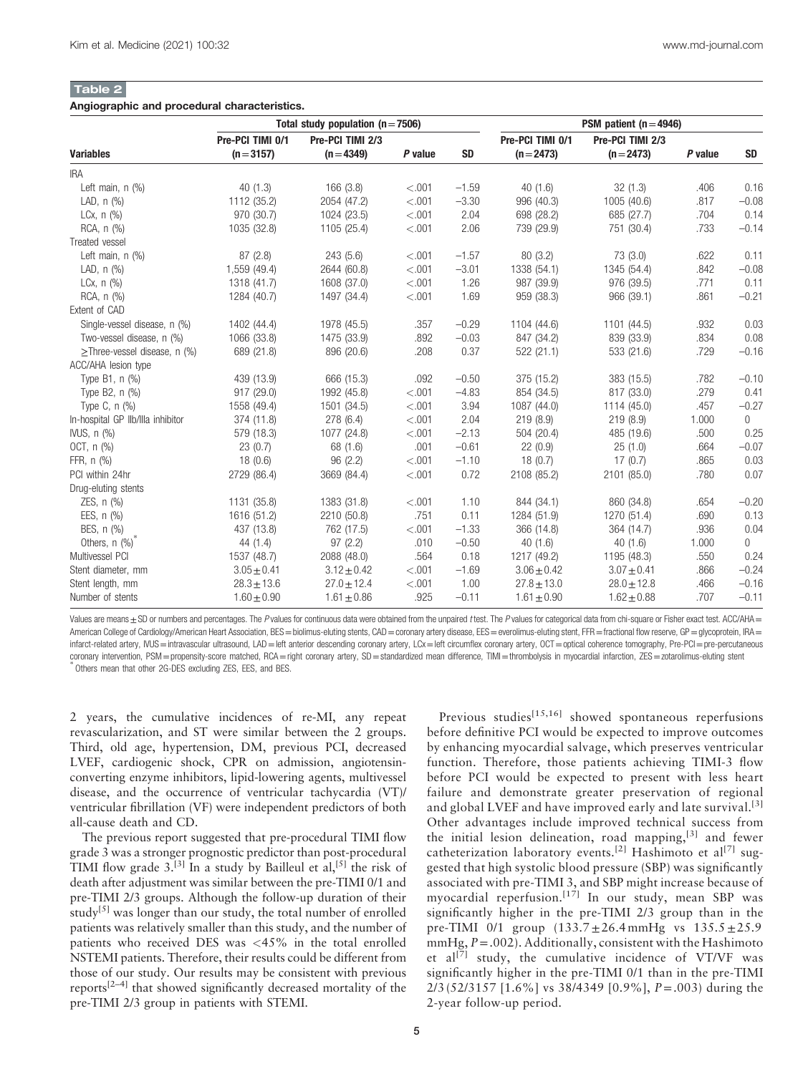# Table 2

#### Angiographic and procedural characteristics.

|                                      |                  | Total study population ( $n = 7506$ ) | PSM patient ( $n = 4946$ ) |           |                  |                  |         |          |
|--------------------------------------|------------------|---------------------------------------|----------------------------|-----------|------------------|------------------|---------|----------|
|                                      | Pre-PCI TIMI 0/1 | Pre-PCI TIMI 2/3                      |                            |           | Pre-PCI TIMI 0/1 | Pre-PCI TIMI 2/3 |         |          |
| <b>Variables</b>                     | $(n=3157)$       | $(n=4349)$                            | P value                    | <b>SD</b> | $(n=2473)$       | $(n=2473)$       | P value | SD       |
| <b>IRA</b>                           |                  |                                       |                            |           |                  |                  |         |          |
| Left main, $n$ $(\%)$                | 40(1.3)          | 166 (3.8)                             | < .001                     | $-1.59$   | 40(1.6)          | 32(1.3)          | .406    | 0.16     |
| LAD, $n$ $\frac{9}{6}$               | 1112 (35.2)      | 2054 (47.2)                           | < .001                     | $-3.30$   | 996 (40.3)       | 1005 (40.6)      | .817    | $-0.08$  |
| LCx, $n$ $(\%)$                      | 970 (30.7)       | 1024 (23.5)                           | < .001                     | 2.04      | 698 (28.2)       | 685 (27.7)       | .704    | 0.14     |
| RCA, n (%)                           | 1035 (32.8)      | 1105 (25.4)                           | < .001                     | 2.06      | 739 (29.9)       | 751 (30.4)       | .733    | $-0.14$  |
| <b>Treated vessel</b>                |                  |                                       |                            |           |                  |                  |         |          |
| Left main, $n$ $(\%)$                | 87(2.8)          | 243(5.6)                              | < 0.001                    | $-1.57$   | 80 (3.2)         | 73 (3.0)         | .622    | 0.11     |
| LAD, $n$ $(\%)$                      | 1,559 (49.4)     | 2644 (60.8)                           | < .001                     | $-3.01$   | 1338 (54.1)      | 1345 (54.4)      | .842    | $-0.08$  |
| LCx, $n$ $(\%)$                      | 1318 (41.7)      | 1608 (37.0)                           | < .001                     | 1.26      | 987 (39.9)       | 976 (39.5)       | .771    | 0.11     |
| RCA, n (%)                           | 1284 (40.7)      | 1497 (34.4)                           | < .001                     | 1.69      | 959 (38.3)       | 966 (39.1)       | .861    | $-0.21$  |
| Extent of CAD                        |                  |                                       |                            |           |                  |                  |         |          |
| Single-vessel disease, n (%)         | 1402 (44.4)      | 1978 (45.5)                           | .357                       | $-0.29$   | 1104 (44.6)      | 1101 (44.5)      | .932    | 0.03     |
| Two-vessel disease, n (%)            | 1066 (33.8)      | 1475 (33.9)                           | .892                       | $-0.03$   | 847 (34.2)       | 839 (33.9)       | .834    | 0.08     |
| $\geq$ Three-vessel disease, n (%)   | 689 (21.8)       | 896 (20.6)                            | .208                       | 0.37      | 522 (21.1)       | 533 (21.6)       | .729    | $-0.16$  |
| ACC/AHA lesion type                  |                  |                                       |                            |           |                  |                  |         |          |
| Type B1, n (%)                       | 439 (13.9)       | 666 (15.3)                            | .092                       | $-0.50$   | 375 (15.2)       | 383 (15.5)       | .782    | $-0.10$  |
| Type B2, n (%)                       | 917 (29.0)       | 1992 (45.8)                           | < .001                     | $-4.83$   | 854 (34.5)       | 817 (33.0)       | .279    | 0.41     |
| Type C, $n$ $(\%)$                   | 1558 (49.4)      | 1501 (34.5)                           | < .001                     | 3.94      | 1087 (44.0)      | 1114 (45.0)      | .457    | $-0.27$  |
| In-hospital GP IIb/IIIa inhibitor    | 374 (11.8)       | 278(6.4)                              | < .001                     | 2.04      | 219(8.9)         | 219(8.9)         | 1.000   | $\Omega$ |
| IVUS, $n$ $\left(\frac{9}{6}\right)$ | 579 (18.3)       | 1077 (24.8)                           | < .001                     | $-2.13$   | 504 (20.4)       | 485 (19.6)       | .500    | 0.25     |
| OCT, n (%)                           | 23(0.7)          | 68 (1.6)                              | .001                       | $-0.61$   | 22(0.9)          | 25(1.0)          | .664    | $-0.07$  |
| FFR, n (%)                           | 18(0.6)          | 96(2.2)                               | < .001                     | $-1.10$   | 18(0.7)          | 17(0.7)          | .865    | 0.03     |
| PCI within 24hr                      | 2729 (86.4)      | 3669 (84.4)                           | < .001                     | 0.72      | 2108 (85.2)      | 2101 (85.0)      | .780    | 0.07     |
| Drug-eluting stents                  |                  |                                       |                            |           |                  |                  |         |          |
| ZES, $n$ $%$                         | 1131 (35.8)      | 1383 (31.8)                           | < .001                     | 1.10      | 844 (34.1)       | 860 (34.8)       | .654    | $-0.20$  |
| EES, n (%)                           | 1616 (51.2)      | 2210 (50.8)                           | .751                       | 0.11      | 1284 (51.9)      | 1270 (51.4)      | .690    | 0.13     |
| BES, n (%)                           | 437 (13.8)       | 762 (17.5)                            | < .001                     | $-1.33$   | 366 (14.8)       | 364 (14.7)       | .936    | 0.04     |
| Others, $n$ $(\%)$                   | 44(1.4)          | 97(2.2)                               | .010                       | $-0.50$   | 40(1.6)          | 40(1.6)          | 1.000   | $\Omega$ |
| Multivessel PCI                      | 1537 (48.7)      | 2088 (48.0)                           | .564                       | 0.18      | 1217 (49.2)      | 1195 (48.3)      | .550    | 0.24     |
| Stent diameter, mm                   | $3.05 \pm 0.41$  | $3.12 \pm 0.42$                       | < .001                     | $-1.69$   | $3.06 \pm 0.42$  | $3.07 + 0.41$    | .866    | $-0.24$  |
| Stent length, mm                     | $28.3 \pm 13.6$  | $27.0 \pm 12.4$                       | < .001                     | 1.00      | $27.8 \pm 13.0$  | $28.0 \pm 12.8$  | .466    | $-0.16$  |
| Number of stents                     | $1.60 \pm 0.90$  | $1.61 \pm 0.86$                       | .925                       | $-0.11$   | $1.61 \pm 0.90$  | $1.62 \pm 0.88$  | .707    | $-0.11$  |

Values are means ±SD or numbers and percentages. The P values for continuous data were obtained from the unpaired thest. The P values for categorical data from chi-square or Fisher exact test. ACC/AHA= American College of Cardiology/American Heart Association, BES=biolimus-eluting stents, CAD=coronary artery disease, FES=everolimus-eluting stent, FFR=fractional flow reserve, GP=glycoprotein, IRA= infarct-related artery, IVUS=intravascular ultrasound, LAD=left anterior descending coronary artery, LCx=left circumflex coronary artery, OCT=optical coherence tomography, Pre-PCI=pre-percutaneous coronary intervention, PSM=propensity-score matched, RCA=right coronary artery, SD=standardized mean difference, TIMI=thrombolysis in myocardial infarction, ZES=zotarolimus-eluting stent Others mean that other 2G-DES excluding ZES, EES, and BES.

2 years, the cumulative incidences of re-MI, any repeat revascularization, and ST were similar between the 2 groups. Third, old age, hypertension, DM, previous PCI, decreased LVEF, cardiogenic shock, CPR on admission, angiotensinconverting enzyme inhibitors, lipid-lowering agents, multivessel disease, and the occurrence of ventricular tachycardia (VT)/ ventricular fibrillation (VF) were independent predictors of both all-cause death and CD.

The previous report suggested that pre-procedural TIMI flow grade 3 was a stronger prognostic predictor than post-procedural TIMI flow grade  $3$ .<sup>[\[3\]](#page-9-0)</sup> In a study by Bailleul et al,<sup>[5]</sup> the risk of death after adjustment was similar between the pre-TIMI 0/1 and pre-TIMI 2/3 groups. Although the follow-up duration of their study<sup>[\[5\]](#page-9-0)</sup> was longer than our study, the total number of enrolled patients was relatively smaller than this study, and the number of patients who received DES was <45% in the total enrolled NSTEMI patients. Therefore, their results could be different from those of our study. Our results may be consistent with previous reports<sup>[2–4]</sup> that showed significantly decreased mortality of the pre-TIMI 2/3 group in patients with STEMI.

Previous studies<sup>[15,16]</sup> showed spontaneous reperfusions before definitive PCI would be expected to improve outcomes by enhancing myocardial salvage, which preserves ventricular function. Therefore, those patients achieving TIMI-3 flow before PCI would be expected to present with less heart failure and demonstrate greater preservation of regional and global LVEF and have improved early and late survival.<sup>[\[3\]](#page-9-0)</sup> Other advantages include improved technical success from the initial lesion delineation, road mapping,<sup>[\[3\]](#page-9-0)</sup> and fewer catheterization laboratory events.<sup>[\[2\]](#page-9-0)</sup> Hashimoto et al<sup>[\[7\]](#page-9-0)</sup> suggested that high systolic blood pressure (SBP) was significantly associated with pre-TIMI 3, and SBP might increase because of myocardial reperfusion. [\[17\]](#page-9-0) In our study, mean SBP was significantly higher in the pre-TIMI 2/3 group than in the pre-TIMI 0/1 group  $(133.7 \pm 26.4 \text{ mmHg}$  vs  $135.5 \pm 25.9$ mmHg,  $P = .002$ ). Additionally, consistent with the Hashimoto et al<sup>[\[7\]](#page-9-0)</sup> study, the cumulative incidence of VT/VF was significantly higher in the pre-TIMI 0/1 than in the pre-TIMI 2/3 (52/3157 [1.6%] vs 38/4349 [0.9%], P=.003) during the 2-year follow-up period.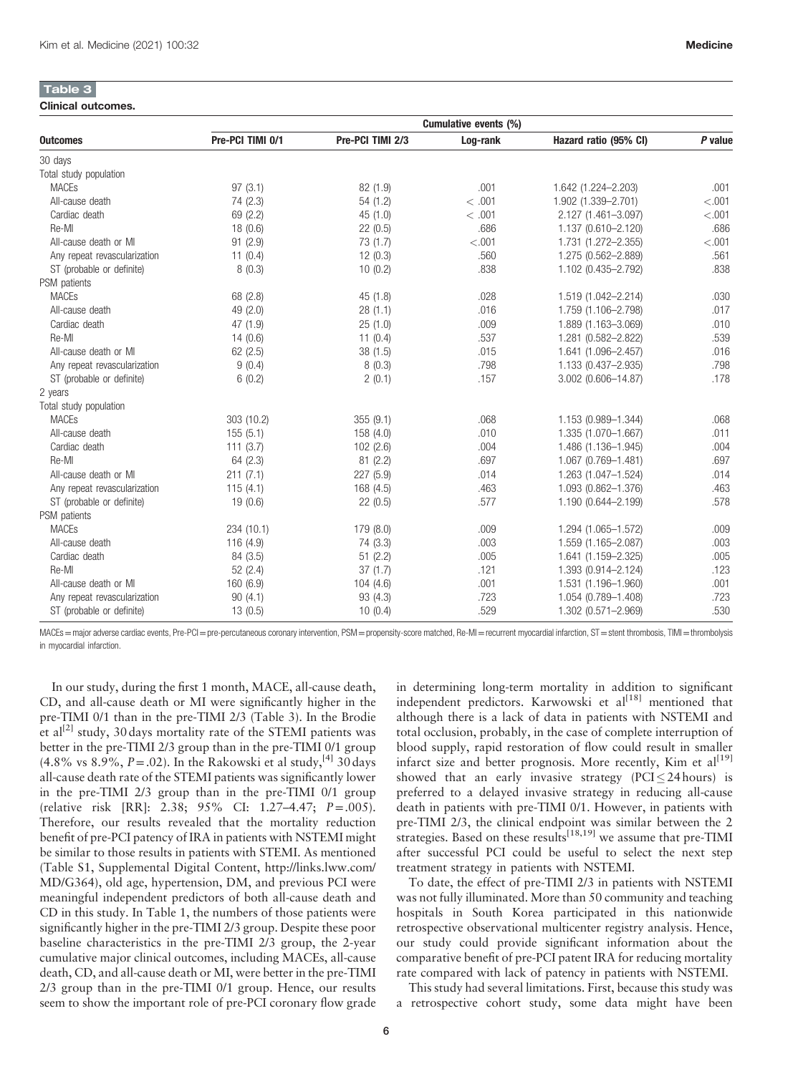<span id="page-5-0"></span>

|--|

Clinical outcomes.

Cumulative events (%) Outcomes Pre-PCI TIMI 0/1 Pre-PCI TIMI 2/3 Log-rank Hazard ratio (95% CI) P value 30 days Total study population MACEs 37 (3.1) 82 (1.9) .001 1.642 (1.224–2.203) .001 All-cause death 74 (2.3) 54 (1.2) < .001 1.902 (1.339–2.701) <.001 Cardiac death 69 (2.2) 69 (2.2) 45 (1.0)  $(1.0)$   $(2.12)$   $(1.461-3.097)$   $(3.001)$   $(1.461-3.097)$   $(3.001)$ Re-MI 18 (0.6) 22 (0.5) .686 1.137 (0.610–2.120) .686 All-cause death or MI 91 (2.9) 31 (2.9) 23 (1.7)  $\langle .001$  1.731 (1.272–2.355)  $\langle .001$  560 (1.272–2.355)  $\langle .001$ Any repeat revascularization 11 (0.4) 12 (0.3) .560 1.275 (0.562-2.889) .561 ST (probable or definite) **8** (0.3) **10** (0.2) .838 1.102 (0.435–2.792) .838 PSM patients MACEs 68 (2.8) 68 (2.8) 45 (1.8) 028 1.519 (1.042–2.214) 030 All-cause death 29 (2.0) 28 (1.1) .016 1.759 (1.106–2.798) 017 Cardiac death 47 (1.9) 25 (1.0) .009 1.889 (1.163–3.069) .010 Re-MI 14 (0.6) 11 (0.4) .537 1.281 (0.582–2.822) All-cause death or MI 62 (2.5) 38 (1.5) 38 (1.5) .015 1.641 (1.096–2.457) .016 Any repeat revascularization **9** (0.4) 8 (0.3) .798 .798 1.133 (0.437–2.935) .798 ST (probable or definite) 6 (0.2) 2 (0.1) .157 3.002 (0.606–14.87) .178 2 years Total study population MACEs 303 (10.2) 355 (9.1) .068 1.153 (0.989–1.344) .068 All-cause death 155 (5.1) 155 (5.1) 158 (4.0) .010 .010 1.335 (1.070–1.667) .011 Cardiac death 111 (3.7) 102 (2.6) .004 1.486 (1.136–1.945) .004 Re-MI 64 (2.3) 81 (2.2) .697 .697 .007 (0.769–1.481) .697 All-cause death or MI 211 (7.1) 227 (5.9) 014 1.263 (1.047-1.524) 014 Any repeat revascularization 115 (4.1) 168 (4.5) .463 1.093 (0.862–1.376) .463 ST (probable or definite)  $19 (0.6)$   $22 (0.5)$   $577$   $1.190 (0.644 - 2.199)$   $.578$ PSM patients MACEs 234 (10.1) 179 (8.0) .009 1.294 (1.065–1.572) .009 All-cause death 116 (4.9) 2003 1.559 (1.165–2.087) 2003 Cardiac death 84 (3.5) 34 (3.5) 51 (2.2) .005 1.641 (1.159–2.325) 005 Re-MI 52 (2.4) 37 (1.7) .121 1.393 (0.914–2.124) .123 All-cause death or MI 160 (6.9) 104 (4.6) .001 1.531 (1.196–1.960) .001 Any repeat revascularization **90 (4.1)** 93 (4.3) .723 1.054 (0.789–1.408) .723

MACEs = major adverse cardiac events, Pre-PCI = pre-percutaneous coronary intervention, PSM = propensity-score matched, Re-MI = recurrent myocardial infarction, ST = stent thrombosis, TIMI = thrombolysis in myocardial infarction.

ST (probable or definite)  $13 (0.5)$   $10 (0.4)$  .529  $1.302 (0.571 - 2.969)$  .530

In our study, during the first 1 month, MACE, all-cause death, CD, and all-cause death or MI were significantly higher in the pre-TIMI 0/1 than in the pre-TIMI 2/3 (Table 3). In the Brodie et al<sup>[\[2\]](#page-9-0)</sup> study, 30 days mortality rate of the STEMI patients was better in the pre-TIMI 2/3 group than in the pre-TIMI 0/1 group  $(4.8\% \text{ vs } 8.9\%, P = .02)$ . In the Rakowski et al study, <sup>[\[4\]](#page-9-0)</sup> 30 days all-cause death rate of the STEMI patients was significantly lower in the pre-TIMI 2/3 group than in the pre-TIMI 0/1 group (relative risk [RR]: 2.38; 95% CI: 1.27–4.47; P=.005). Therefore, our results revealed that the mortality reduction benefit of pre-PCI patency of IRA in patients with NSTEMI might be similar to those results in patients with STEMI. As mentioned (Table S1, Supplemental Digital Content, [http://links.lww.com/](http://links.lww.com/MD/G364) [MD/G364\)](http://links.lww.com/MD/G364), old age, hypertension, DM, and previous PCI were meaningful independent predictors of both all-cause death and CD in this study. In [Table 1,](#page-3-0) the numbers of those patients were significantly higher in the pre-TIMI 2/3 group. Despite these poor baseline characteristics in the pre-TIMI 2/3 group, the 2-year cumulative major clinical outcomes, including MACEs, all-cause death, CD, and all-cause death or MI, were better in the pre-TIMI 2/3 group than in the pre-TIMI 0/1 group. Hence, our results seem to show the important role of pre-PCI coronary flow grade

in determining long-term mortality in addition to significant independent predictors. Karwowski et al<sup>[\[18\]](#page-9-0)</sup> mentioned that although there is a lack of data in patients with NSTEMI and total occlusion, probably, in the case of complete interruption of blood supply, rapid restoration of flow could result in smaller infarct size and better prognosis. More recently, Kim et  $a^{[19]}$  $a^{[19]}$  $a^{[19]}$ showed that an early invasive strategy (PCI $\leq$ 24 hours) is preferred to a delayed invasive strategy in reducing all-cause death in patients with pre-TIMI 0/1. However, in patients with pre-TIMI 2/3, the clinical endpoint was similar between the 2 strategies. Based on these results<sup>[18,19]</sup> we assume that pre-TIMI after successful PCI could be useful to select the next step treatment strategy in patients with NSTEMI.

To date, the effect of pre-TIMI 2/3 in patients with NSTEMI was not fully illuminated. More than 50 community and teaching hospitals in South Korea participated in this nationwide retrospective observational multicenter registry analysis. Hence, our study could provide significant information about the comparative benefit of pre-PCI patent IRA for reducing mortality rate compared with lack of patency in patients with NSTEMI.

This study had several limitations. First, because this study was a retrospective cohort study, some data might have been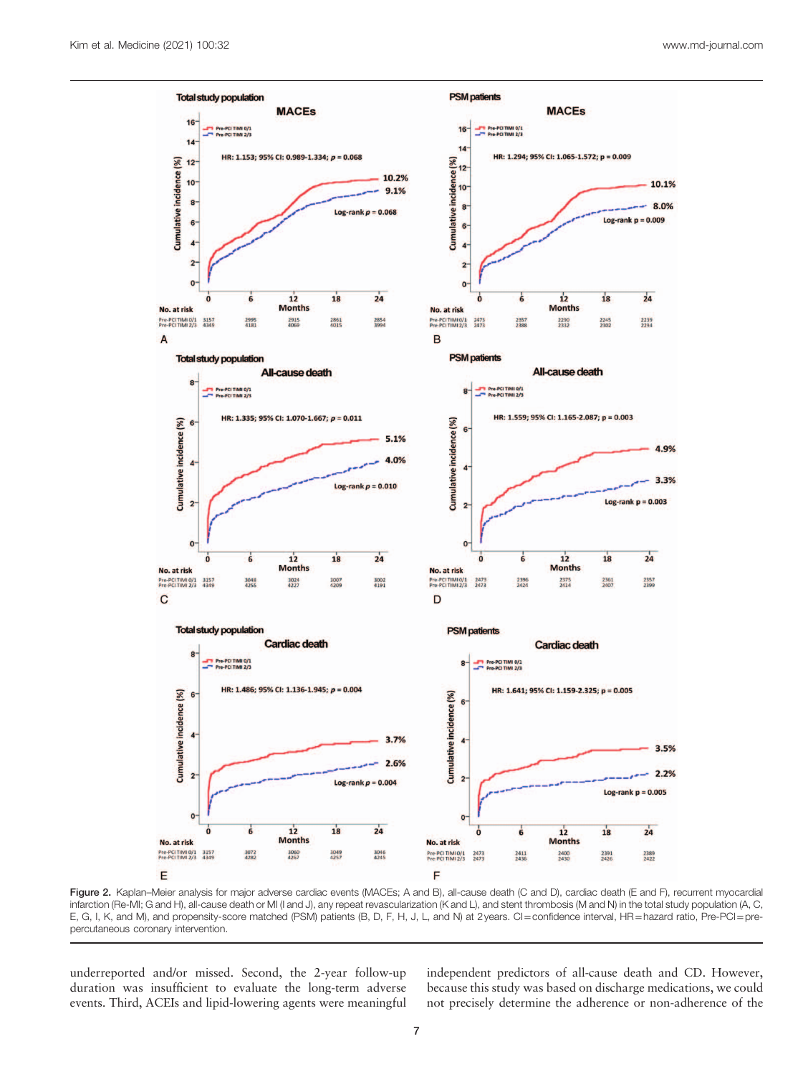<span id="page-6-0"></span>

Figure 2. Kaplan–Meier analysis for major adverse cardiac events (MACEs; A and B), all-cause death (C and D), cardiac death (E and F), recurrent myocardial infarction (Re-MI; G and H), all-cause death or MI (I and J), any repeat revascularization (K and L), and stent thrombosis (M and N) in the total study population (A, C, E, G, I, K, and M), and propensity-score matched (PSM) patients (B, D, F, H, J, L, and N) at 2 years. CI=confidence interval, HR=hazard ratio, Pre-PCI=prepercutaneous coronary intervention.

underreported and/or missed. Second, the 2-year follow-up duration was insufficient to evaluate the long-term adverse events. Third, ACEIs and lipid-lowering agents were meaningful independent predictors of all-cause death and CD. However, because this study was based on discharge medications, we could not precisely determine the adherence or non-adherence of the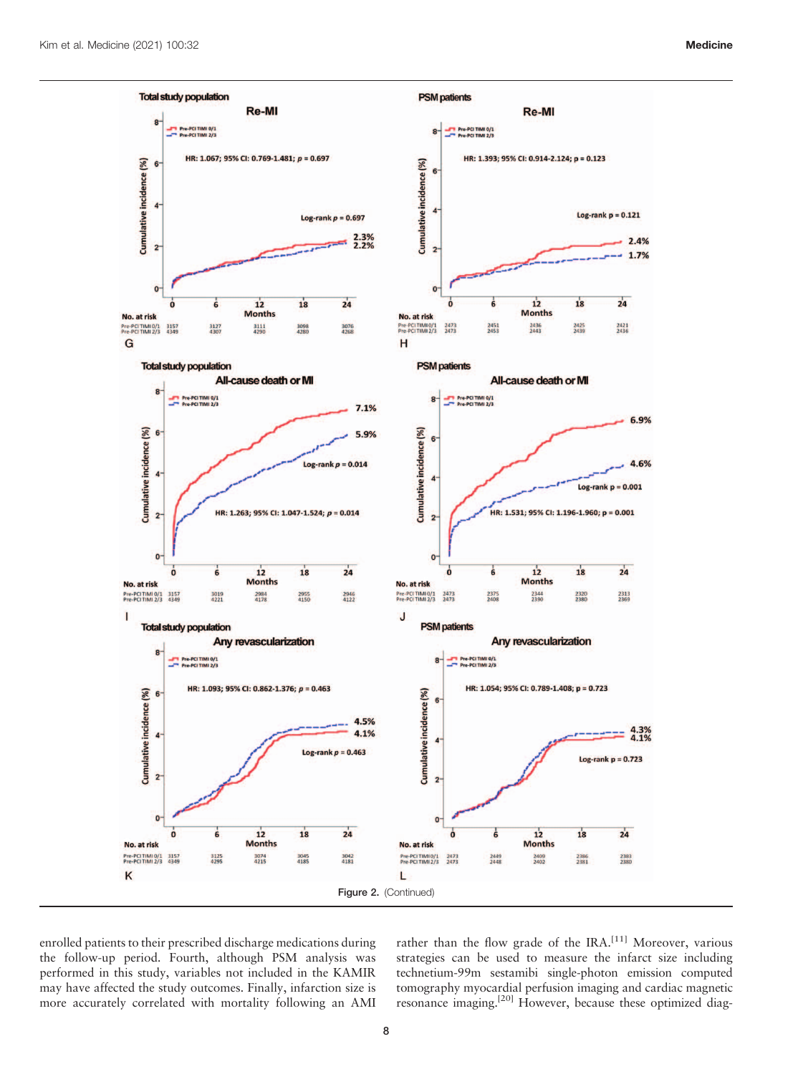

enrolled patients to their prescribed discharge medications during the follow-up period. Fourth, although PSM analysis was performed in this study, variables not included in the KAMIR may have affected the study outcomes. Finally, infarction size is more accurately correlated with mortality following an AMI rather than the flow grade of the IRA.<sup>[\[11\]](#page-9-0)</sup> Moreover, various strategies can be used to measure the infarct size including technetium-99m sestamibi single-photon emission computed tomography myocardial perfusion imaging and cardiac magnetic resonance imaging.<sup>[\[20\]](#page-9-0)</sup> However, because these optimized diag-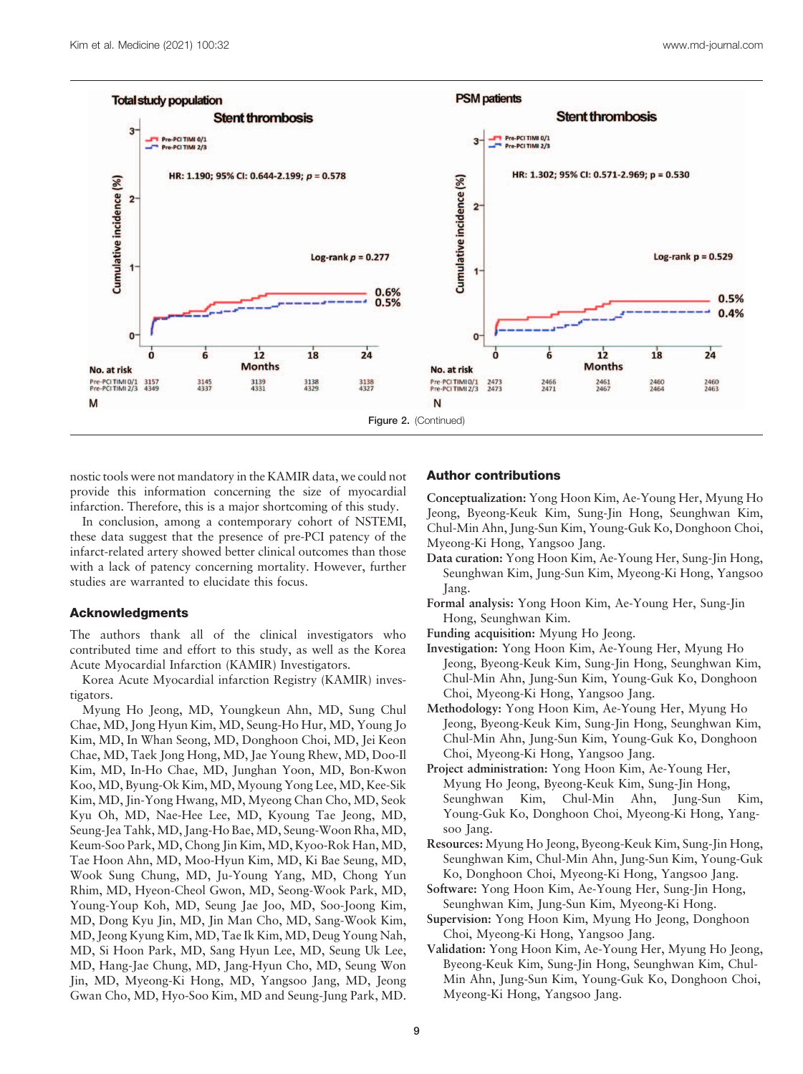

nostic tools were not mandatory in the KAMIR data, we could not provide this information concerning the size of myocardial infarction. Therefore, this is a major shortcoming of this study.

In conclusion, among a contemporary cohort of NSTEMI, these data suggest that the presence of pre-PCI patency of the infarct-related artery showed better clinical outcomes than those with a lack of patency concerning mortality. However, further studies are warranted to elucidate this focus.

## Acknowledgments

The authors thank all of the clinical investigators who contributed time and effort to this study, as well as the Korea Acute Myocardial Infarction (KAMIR) Investigators.

Korea Acute Myocardial infarction Registry (KAMIR) investigators.

Myung Ho Jeong, MD, Youngkeun Ahn, MD, Sung Chul Chae, MD, Jong Hyun Kim, MD, Seung-Ho Hur, MD, Young Jo Kim, MD, In Whan Seong, MD, Donghoon Choi, MD, Jei Keon Chae, MD, Taek Jong Hong, MD, Jae Young Rhew, MD, Doo-Il Kim, MD, In-Ho Chae, MD, Junghan Yoon, MD, Bon-Kwon Koo, MD, Byung-Ok Kim, MD, Myoung Yong Lee, MD, Kee-Sik Kim, MD, Jin-Yong Hwang, MD, Myeong Chan Cho, MD, Seok Kyu Oh, MD, Nae-Hee Lee, MD, Kyoung Tae Jeong, MD, Seung-Jea Tahk, MD, Jang-Ho Bae, MD, Seung-Woon Rha, MD, Keum-Soo Park, MD, Chong Jin Kim, MD, Kyoo-Rok Han, MD, Tae Hoon Ahn, MD, Moo-Hyun Kim, MD, Ki Bae Seung, MD, Wook Sung Chung, MD, Ju-Young Yang, MD, Chong Yun Rhim, MD, Hyeon-Cheol Gwon, MD, Seong-Wook Park, MD, Young-Youp Koh, MD, Seung Jae Joo, MD, Soo-Joong Kim, MD, Dong Kyu Jin, MD, Jin Man Cho, MD, Sang-Wook Kim, MD, Jeong Kyung Kim, MD, Tae Ik Kim, MD, Deug Young Nah, MD, Si Hoon Park, MD, Sang Hyun Lee, MD, Seung Uk Lee, MD, Hang-Jae Chung, MD, Jang-Hyun Cho, MD, Seung Won Jin, MD, Myeong-Ki Hong, MD, Yangsoo Jang, MD, Jeong Gwan Cho, MD, Hyo-Soo Kim, MD and Seung-Jung Park, MD.

# Author contributions

Conceptualization: Yong Hoon Kim, Ae-Young Her, Myung Ho Jeong, Byeong-Keuk Kim, Sung-Jin Hong, Seunghwan Kim, Chul-Min Ahn, Jung-Sun Kim, Young-Guk Ko, Donghoon Choi, Myeong-Ki Hong, Yangsoo Jang.

- Data curation: Yong Hoon Kim, Ae-Young Her, Sung-Jin Hong, Seunghwan Kim, Jung-Sun Kim, Myeong-Ki Hong, Yangsoo Jang.
- Formal analysis: Yong Hoon Kim, Ae-Young Her, Sung-Jin Hong, Seunghwan Kim.
- Funding acquisition: Myung Ho Jeong.
- Investigation: Yong Hoon Kim, Ae-Young Her, Myung Ho Jeong, Byeong-Keuk Kim, Sung-Jin Hong, Seunghwan Kim, Chul-Min Ahn, Jung-Sun Kim, Young-Guk Ko, Donghoon Choi, Myeong-Ki Hong, Yangsoo Jang.
- Methodology: Yong Hoon Kim, Ae-Young Her, Myung Ho Jeong, Byeong-Keuk Kim, Sung-Jin Hong, Seunghwan Kim, Chul-Min Ahn, Jung-Sun Kim, Young-Guk Ko, Donghoon Choi, Myeong-Ki Hong, Yangsoo Jang.
- Project administration: Yong Hoon Kim, Ae-Young Her, Myung Ho Jeong, Byeong-Keuk Kim, Sung-Jin Hong, Seunghwan Kim, Chul-Min Ahn, Jung-Sun Kim, Young-Guk Ko, Donghoon Choi, Myeong-Ki Hong, Yangsoo Jang.
- Resources: Myung Ho Jeong, Byeong-Keuk Kim, Sung-Jin Hong, Seunghwan Kim, Chul-Min Ahn, Jung-Sun Kim, Young-Guk Ko, Donghoon Choi, Myeong-Ki Hong, Yangsoo Jang.
- Software: Yong Hoon Kim, Ae-Young Her, Sung-Jin Hong, Seunghwan Kim, Jung-Sun Kim, Myeong-Ki Hong.
- Supervision: Yong Hoon Kim, Myung Ho Jeong, Donghoon Choi, Myeong-Ki Hong, Yangsoo Jang.
- Validation: Yong Hoon Kim, Ae-Young Her, Myung Ho Jeong, Byeong-Keuk Kim, Sung-Jin Hong, Seunghwan Kim, Chul-Min Ahn, Jung-Sun Kim, Young-Guk Ko, Donghoon Choi, Myeong-Ki Hong, Yangsoo Jang.